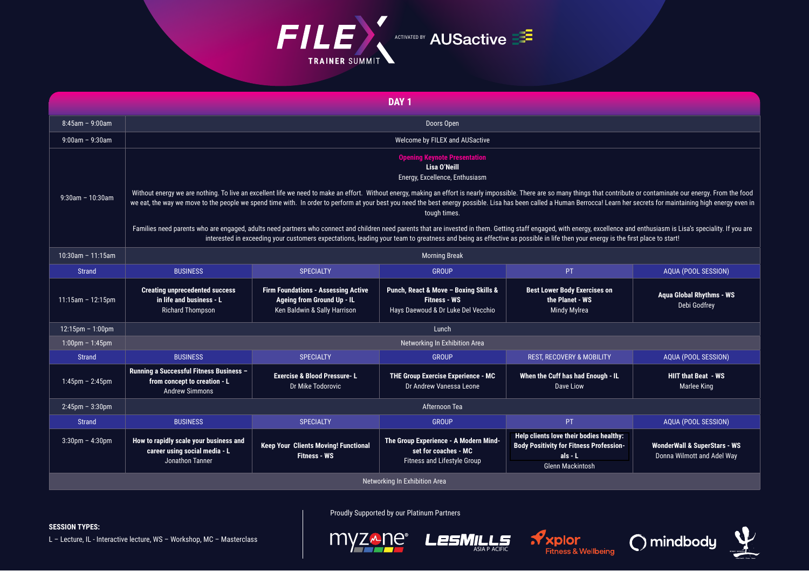

| DAY <sub>1</sub>                  |                                                                                                                                                                                                                                                                                                                                                                                                                                                                            |                                                                                                          |                                                                                                    |                                                                                                                                   |                                                                       |  |  |  |  |
|-----------------------------------|----------------------------------------------------------------------------------------------------------------------------------------------------------------------------------------------------------------------------------------------------------------------------------------------------------------------------------------------------------------------------------------------------------------------------------------------------------------------------|----------------------------------------------------------------------------------------------------------|----------------------------------------------------------------------------------------------------|-----------------------------------------------------------------------------------------------------------------------------------|-----------------------------------------------------------------------|--|--|--|--|
| $8:45am - 9:00am$                 | Doors Open                                                                                                                                                                                                                                                                                                                                                                                                                                                                 |                                                                                                          |                                                                                                    |                                                                                                                                   |                                                                       |  |  |  |  |
| $9:00am - 9:30am$                 | Welcome by FILEX and AUSactive                                                                                                                                                                                                                                                                                                                                                                                                                                             |                                                                                                          |                                                                                                    |                                                                                                                                   |                                                                       |  |  |  |  |
|                                   | <b>Opening Keynote Presentation</b><br>Lisa O'Neill<br>Energy, Excellence, Enthusiasm                                                                                                                                                                                                                                                                                                                                                                                      |                                                                                                          |                                                                                                    |                                                                                                                                   |                                                                       |  |  |  |  |
| $9:30$ am - 10:30am               | Without energy we are nothing. To live an excellent life we need to make an effort. Without energy, making an effort is nearly impossible. There are so many things that contribute or contaminate our energy. From the food<br>we eat, the way we move to the people we spend time with. In order to perform at your best you need the best energy possible. Lisa has been called a Human Berrocca! Learn her secrets for maintaining high energy even in<br>tough times. |                                                                                                          |                                                                                                    |                                                                                                                                   |                                                                       |  |  |  |  |
|                                   | Families need parents who are engaged, adults need partners who connect and children need parents that are invested in them. Getting staff engaged, with energy, excellence and enthusiasm is Lisa's speciality. If you are<br>interested in exceeding your customers expectations, leading your team to greatness and being as effective as possible in life then your energy is the first place to start!                                                                |                                                                                                          |                                                                                                    |                                                                                                                                   |                                                                       |  |  |  |  |
| 10:30am - 11:15am                 | <b>Morning Break</b>                                                                                                                                                                                                                                                                                                                                                                                                                                                       |                                                                                                          |                                                                                                    |                                                                                                                                   |                                                                       |  |  |  |  |
| <b>Strand</b>                     | <b>BUSINESS</b>                                                                                                                                                                                                                                                                                                                                                                                                                                                            | <b>SPECIALTY</b>                                                                                         | <b>GROUP</b>                                                                                       | PT.                                                                                                                               | AQUA (POOL SESSION)                                                   |  |  |  |  |
| $11:15am - 12:15pm$               | <b>Creating unprecedented success</b><br>in life and business - L<br><b>Richard Thompson</b>                                                                                                                                                                                                                                                                                                                                                                               | <b>Firm Foundations - Assessing Active</b><br>Ageing from Ground Up - IL<br>Ken Baldwin & Sally Harrison | Punch, React & Move - Boxing Skills &<br><b>Fitness - WS</b><br>Hays Daewoud & Dr Luke Del Vecchio | <b>Best Lower Body Exercises on</b><br>the Planet - WS<br>Mindy Mylrea                                                            | <b>Agua Global Rhythms - WS</b><br>Debi Godfrey                       |  |  |  |  |
| 12:15pm - 1:00pm                  | Lunch                                                                                                                                                                                                                                                                                                                                                                                                                                                                      |                                                                                                          |                                                                                                    |                                                                                                                                   |                                                                       |  |  |  |  |
| $1:00 \text{pm} - 1:45 \text{pm}$ | Networking In Exhibition Area                                                                                                                                                                                                                                                                                                                                                                                                                                              |                                                                                                          |                                                                                                    |                                                                                                                                   |                                                                       |  |  |  |  |
| Strand                            | <b>BUSINESS</b>                                                                                                                                                                                                                                                                                                                                                                                                                                                            | <b>SPECIALTY</b>                                                                                         | <b>GROUP</b>                                                                                       | <b>REST. RECOVERY &amp; MOBILITY</b>                                                                                              | AQUA (POOL SESSION)                                                   |  |  |  |  |
| $1:45$ pm - 2:45pm                | Running a Successful Fitness Business -<br>from concept to creation - L<br><b>Andrew Simmons</b>                                                                                                                                                                                                                                                                                                                                                                           | <b>Exercise &amp; Blood Pressure-L</b><br>Dr Mike Todorovic                                              | THE Group Exercise Experience - MC<br>Dr Andrew Vanessa Leone                                      | When the Cuff has had Enough - IL<br>Dave Liow                                                                                    | <b>HIIT that Beat - WS</b><br>Marlee King                             |  |  |  |  |
| $2:45$ pm - $3:30$ pm             | Afternoon Tea                                                                                                                                                                                                                                                                                                                                                                                                                                                              |                                                                                                          |                                                                                                    |                                                                                                                                   |                                                                       |  |  |  |  |
| <b>Strand</b>                     | <b>BUSINESS</b>                                                                                                                                                                                                                                                                                                                                                                                                                                                            | <b>SPECIALTY</b>                                                                                         | <b>GROUP</b>                                                                                       | PT                                                                                                                                | AQUA (POOL SESSION)                                                   |  |  |  |  |
| $3:30$ pm - $4:30$ pm             | How to rapidly scale your business and<br>career using social media - L<br>Jonathon Tanner                                                                                                                                                                                                                                                                                                                                                                                 | <b>Keep Your Clients Moving! Functional</b><br><b>Fitness - WS</b>                                       | The Group Experience - A Modern Mind-<br>set for coaches - MC<br>Fitness and Lifestyle Group       | Help clients love their bodies healthy:<br><b>Body Positivity for Fitness Profession-</b><br>$als - L$<br><b>Glenn Mackintosh</b> | <b>WonderWall &amp; SuperStars - WS</b><br>Donna Wilmott and Adel Way |  |  |  |  |
| Networking In Exhibition Area     |                                                                                                                                                                                                                                                                                                                                                                                                                                                                            |                                                                                                          |                                                                                                    |                                                                                                                                   |                                                                       |  |  |  |  |

Proudly Supported by our Platinum Partners

## **SESSION TYPES:**

L - Lecture, IL - Interactive lecture, WS - Workshop, MC - Masterclass



**LesMILLS**